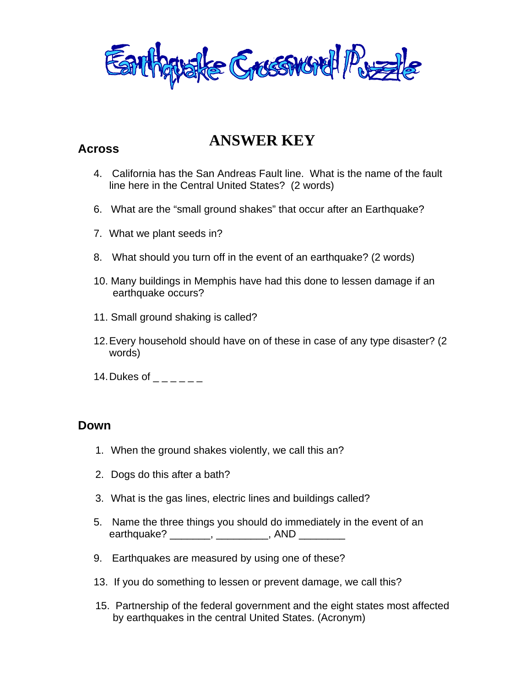Earthquake Grussword Puzzle

## **ANSWER KEY Across**

- 4. California has the San Andreas Fault line. What is the name of the fault line here in the Central United States? (2 words)
- 6. What are the "small ground shakes" that occur after an Earthquake?
- 7. What we plant seeds in?
- 8. What should you turn off in the event of an earthquake? (2 words)
- 10. Many buildings in Memphis have had this done to lessen damage if an earthquake occurs?
- 11. Small ground shaking is called?
- 12. Every household should have on of these in case of any type disaster? (2 words)
- 14. Dukes of  $-$

## **Down**

- 1. When the ground shakes violently, we call this an?
- 2. Dogs do this after a bath?
- 3. What is the gas lines, electric lines and buildings called?
- 5. Name the three things you should do immediately in the event of an earthquake? \_\_\_\_\_\_\_\_, \_\_\_\_\_\_\_\_\_\_, AND \_\_\_\_\_\_\_\_
- 9. Earthquakes are measured by using one of these?
- 13. If you do something to lessen or prevent damage, we call this?
- 15. Partnership of the federal government and the eight states most affected by earthquakes in the central United States. (Acronym)